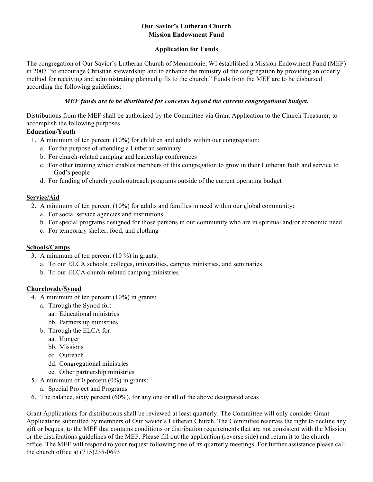### **Our Savior's Lutheran Church Mission Endowment Fund**

### **Application for Funds**

The congregation of Our Savior's Lutheran Church of Menomonie, WI established a Mission Endowment Fund (MEF) in 2007 "to encourage Christian stewardship and to enhance the ministry of the congregation by providing an orderly method for receiving and administrating planned gifts to the church." Funds from the MEF are to be disbursed according the following guidelines:

### *MEF funds are to be distributed for concerns beyond the current congregational budget.*

Distributions from the MEF shall be authorized by the Committee via Grant Application to the Church Treasurer, to accomplish the following purposes.

# **Education/Youth**

- 1. A minimum of ten percent (10%) for children and adults within our congregation:
	- a. For the purpose of attending a Lutheran seminary
	- b. For church-related camping and leadership conferences
	- c. For other training which enables members of this congregation to grow in their Lutheran faith and service to God's people
	- d. For funding of church youth outreach programs outside of the current operating budget

# **Service/Aid**

- 2. A minimum of ten percent (10%) for adults and families in need within our global community:
	- a. For social service agencies and institutions
	- b. For special programs designed for those persons in our community who are in spiritual and/or economic need
	- c. For temporary shelter, food, and clothing

#### **Schools/Camps**

- 3. A minimum of ten percent (10 %) in grants:
	- a. To our ELCA schools, colleges, universities, campus ministries, and seminaries
	- b. To our ELCA church-related camping ministries

# **Churchwide/Synod**

- 4. A minimum of ten percent (10%) in grants:
	- a. Through the Synod for:
		- aa. Educational ministries
		- bb. Partnership ministries
	- b. Through the ELCA for:
		- aa. Hunger
		- bb. Missions
		- cc. Outreach
		- dd. Congregational ministries
		- ee. Other partnership ministries
- 5. A minimum of 0 percent  $(0\%)$  in grants:
	- a. Special Project and Programs
- 6. The balance, sixty percent (60%), for any one or all of the above designated areas

Grant Applications for distributions shall be reviewed at least quarterly. The Committee will only consider Grant Applications submitted by members of Our Savior's Lutheran Church. The Committee reserves the right to decline any gift or bequest to the MEF that contains conditions or distribution requirements that are not consistent with the Mission or the distributions guidelines of the MEF. Please fill out the application (reverse side) and return it to the church office. The MEF will respond to your request following one of its quarterly meetings. For further assistance please call the church office at (715)235-0693.